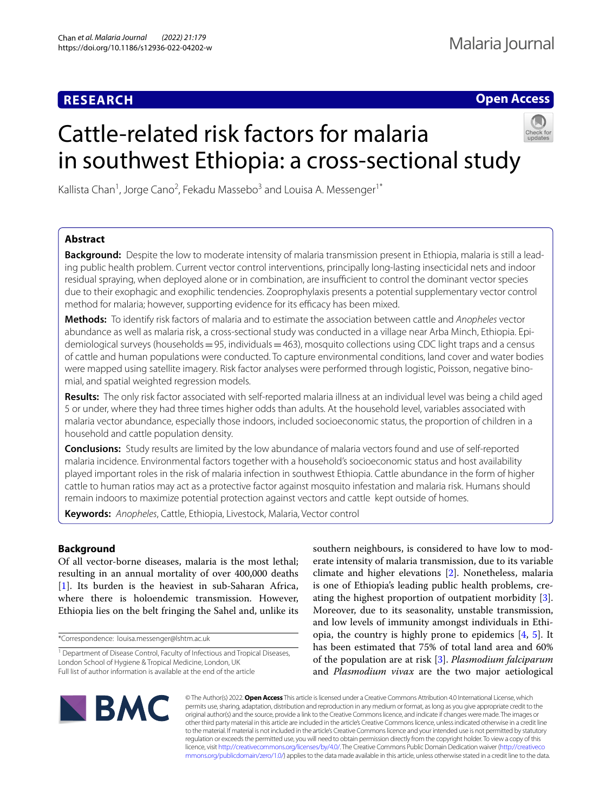# **RESEARCH**

**Open Access**

# Cattle-related risk factors for malaria in southwest Ethiopia: a cross-sectional study



Kallista Chan<sup>1</sup>, Jorge Cano<sup>2</sup>, Fekadu Massebo<sup>3</sup> and Louisa A. Messenger<sup>1\*</sup>

## **Abstract**

**Background:** Despite the low to moderate intensity of malaria transmission present in Ethiopia, malaria is still a leading public health problem. Current vector control interventions, principally long-lasting insecticidal nets and indoor residual spraying, when deployed alone or in combination, are insufficient to control the dominant vector species due to their exophagic and exophilic tendencies. Zooprophylaxis presents a potential supplementary vector control method for malaria; however, supporting evidence for its efficacy has been mixed.

**Methods:** To identify risk factors of malaria and to estimate the association between cattle and *Anopheles* vector abundance as well as malaria risk, a cross-sectional study was conducted in a village near Arba Minch, Ethiopia. Epidemiological surveys (households=95, individuals=463), mosquito collections using CDC light traps and a census of cattle and human populations were conducted. To capture environmental conditions, land cover and water bodies were mapped using satellite imagery. Risk factor analyses were performed through logistic, Poisson, negative binomial, and spatial weighted regression models.

**Results:** The only risk factor associated with self-reported malaria illness at an individual level was being a child aged 5 or under, where they had three times higher odds than adults. At the household level, variables associated with malaria vector abundance, especially those indoors, included socioeconomic status, the proportion of children in a household and cattle population density.

**Conclusions:** Study results are limited by the low abundance of malaria vectors found and use of self-reported malaria incidence. Environmental factors together with a household's socioeconomic status and host availability played important roles in the risk of malaria infection in southwest Ethiopia. Cattle abundance in the form of higher cattle to human ratios may act as a protective factor against mosquito infestation and malaria risk. Humans should remain indoors to maximize potential protection against vectors and cattle kept outside of homes.

**Keywords:** *Anopheles*, Cattle, Ethiopia, Livestock, Malaria, Vector control

### **Background**

Of all vector-borne diseases, malaria is the most lethal; resulting in an annual mortality of over 400,000 deaths [[1\]](#page-7-0). Its burden is the heaviest in sub-Saharan Africa, where there is holoendemic transmission. However, Ethiopia lies on the belt fringing the Sahel and, unlike its

\*Correspondence: louisa.messenger@lshtm.ac.uk

southern neighbours, is considered to have low to moderate intensity of malaria transmission, due to its variable climate and higher elevations [[2\]](#page-7-1). Nonetheless, malaria is one of Ethiopia's leading public health problems, creating the highest proportion of outpatient morbidity [\[3](#page-7-2)]. Moreover, due to its seasonality, unstable transmission, and low levels of immunity amongst individuals in Ethiopia, the country is highly prone to epidemics [\[4](#page-7-3), [5](#page-7-4)]. It has been estimated that 75% of total land area and 60% of the population are at risk [\[3\]](#page-7-2). *Plasmodium falciparum* and *Plasmodium vivax* are the two major aetiological



© The Author(s) 2022. **Open Access** This article is licensed under a Creative Commons Attribution 4.0 International License, which permits use, sharing, adaptation, distribution and reproduction in any medium or format, as long as you give appropriate credit to the original author(s) and the source, provide a link to the Creative Commons licence, and indicate if changes were made. The images or other third party material in this article are included in the article's Creative Commons licence, unless indicated otherwise in a credit line to the material. If material is not included in the article's Creative Commons licence and your intended use is not permitted by statutory regulation or exceeds the permitted use, you will need to obtain permission directly from the copyright holder. To view a copy of this licence, visit [http://creativecommons.org/licenses/by/4.0/.](http://creativecommons.org/licenses/by/4.0/) The Creative Commons Public Domain Dedication waiver ([http://creativeco](http://creativecommons.org/publicdomain/zero/1.0/) [mmons.org/publicdomain/zero/1.0/](http://creativecommons.org/publicdomain/zero/1.0/)) applies to the data made available in this article, unless otherwise stated in a credit line to the data.

<sup>&</sup>lt;sup>1</sup> Department of Disease Control, Faculty of Infectious and Tropical Diseases, London School of Hygiene & Tropical Medicine, London, UK Full list of author information is available at the end of the article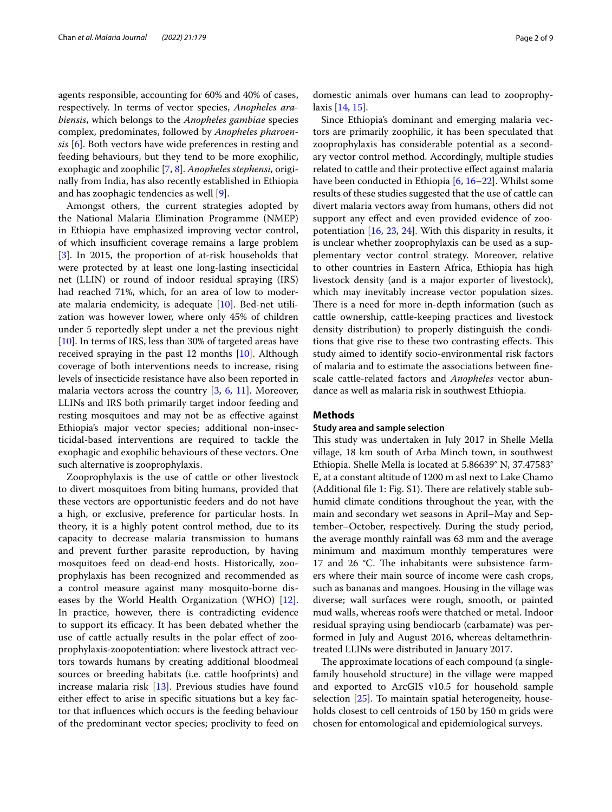agents responsible, accounting for 60% and 40% of cases, respectively. In terms of vector species, *Anopheles arabiensis*, which belongs to the *Anopheles gambiae* species complex, predominates, followed by *Anopheles pharoensis* [[6](#page-7-5)]. Both vectors have wide preferences in resting and feeding behaviours, but they tend to be more exophilic, exophagic and zoophilic [[7,](#page-7-6) [8\]](#page-7-7). *Anopheles stephensi*, originally from India, has also recently established in Ethiopia and has zoophagic tendencies as well [\[9\]](#page-7-8).

Amongst others, the current strategies adopted by the National Malaria Elimination Programme (NMEP) in Ethiopia have emphasized improving vector control, of which insufficient coverage remains a large problem [[3\]](#page-7-2). In 2015, the proportion of at-risk households that were protected by at least one long-lasting insecticidal net (LLIN) or round of indoor residual spraying (IRS) had reached 71%, which, for an area of low to moderate malaria endemicity, is adequate [\[10\]](#page-7-9). Bed-net utilization was however lower, where only 45% of children under 5 reportedly slept under a net the previous night [[10\]](#page-7-9). In terms of IRS, less than 30% of targeted areas have received spraying in the past 12 months [[10\]](#page-7-9). Although coverage of both interventions needs to increase, rising levels of insecticide resistance have also been reported in malaria vectors across the country [\[3](#page-7-2), [6](#page-7-5), [11\]](#page-7-10). Moreover, LLINs and IRS both primarily target indoor feeding and resting mosquitoes and may not be as efective against Ethiopia's major vector species; additional non-insecticidal-based interventions are required to tackle the exophagic and exophilic behaviours of these vectors. One such alternative is zooprophylaxis.

Zooprophylaxis is the use of cattle or other livestock to divert mosquitoes from biting humans, provided that these vectors are opportunistic feeders and do not have a high, or exclusive, preference for particular hosts. In theory, it is a highly potent control method, due to its capacity to decrease malaria transmission to humans and prevent further parasite reproduction, by having mosquitoes feed on dead-end hosts. Historically, zooprophylaxis has been recognized and recommended as a control measure against many mosquito-borne diseases by the World Health Organization (WHO) [\[12](#page-7-11)]. In practice, however, there is contradicting evidence to support its efficacy. It has been debated whether the use of cattle actually results in the polar efect of zooprophylaxis-zoopotentiation: where livestock attract vectors towards humans by creating additional bloodmeal sources or breeding habitats (i.e. cattle hoofprints) and increase malaria risk [[13\]](#page-7-12). Previous studies have found either effect to arise in specific situations but a key factor that infuences which occurs is the feeding behaviour of the predominant vector species; proclivity to feed on domestic animals over humans can lead to zooprophylaxis [[14,](#page-7-13) [15\]](#page-7-14).

Since Ethiopia's dominant and emerging malaria vectors are primarily zoophilic, it has been speculated that zooprophylaxis has considerable potential as a secondary vector control method. Accordingly, multiple studies related to cattle and their protective efect against malaria have been conducted in Ethiopia [[6,](#page-7-5) [16](#page-7-15)[–22\]](#page-7-16). Whilst some results of these studies suggested that the use of cattle can divert malaria vectors away from humans, others did not support any efect and even provided evidence of zoopotentiation [\[16,](#page-7-15) [23,](#page-7-17) [24\]](#page-7-18). With this disparity in results, it is unclear whether zooprophylaxis can be used as a supplementary vector control strategy. Moreover, relative to other countries in Eastern Africa, Ethiopia has high livestock density (and is a major exporter of livestock), which may inevitably increase vector population sizes. There is a need for more in-depth information (such as cattle ownership, cattle-keeping practices and livestock density distribution) to properly distinguish the conditions that give rise to these two contrasting effects. This study aimed to identify socio-environmental risk factors of malaria and to estimate the associations between fnescale cattle-related factors and *Anopheles* vector abundance as well as malaria risk in southwest Ethiopia.

#### **Methods**

#### **Study area and sample selection**

This study was undertaken in July 2017 in Shelle Mella village, 18 km south of Arba Minch town, in southwest Ethiopia. Shelle Mella is located at 5.86639° N, 37.47583° E, at a constant altitude of 1200 m asl next to Lake Chamo (Additional file [1:](#page-7-19) Fig.  $S1$ ). There are relatively stable subhumid climate conditions throughout the year, with the main and secondary wet seasons in April–May and September–October, respectively. During the study period, the average monthly rainfall was 63 mm and the average minimum and maximum monthly temperatures were 17 and 26  $°C$ . The inhabitants were subsistence farmers where their main source of income were cash crops, such as bananas and mangoes. Housing in the village was diverse; wall surfaces were rough, smooth, or painted mud walls, whereas roofs were thatched or metal. Indoor residual spraying using bendiocarb (carbamate) was performed in July and August 2016, whereas deltamethrintreated LLINs were distributed in January 2017.

The approximate locations of each compound (a singlefamily household structure) in the village were mapped and exported to ArcGIS v10.5 for household sample selection [[25](#page-8-0)]. To maintain spatial heterogeneity, households closest to cell centroids of 150 by 150 m grids were chosen for entomological and epidemiological surveys.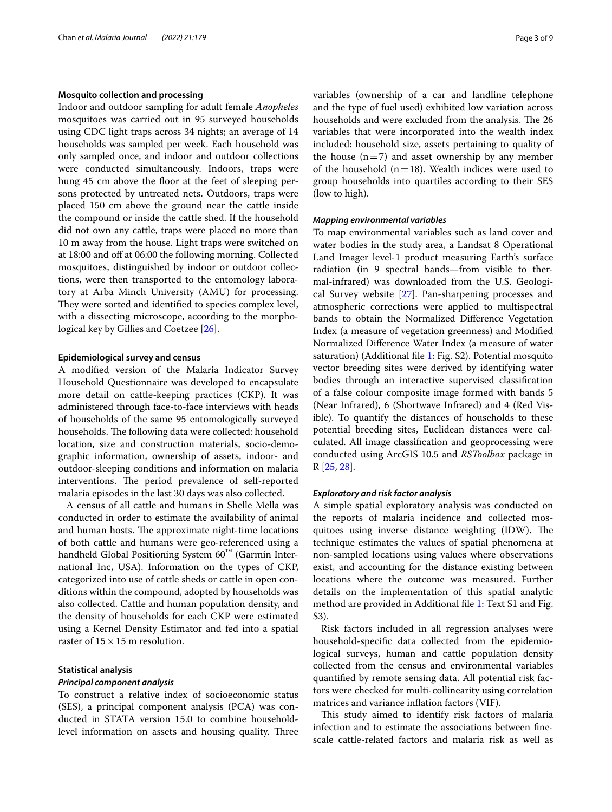#### **Mosquito collection and processing**

Indoor and outdoor sampling for adult female *Anopheles* mosquitoes was carried out in 95 surveyed households using CDC light traps across 34 nights; an average of 14 households was sampled per week. Each household was only sampled once, and indoor and outdoor collections were conducted simultaneously. Indoors, traps were hung 45 cm above the floor at the feet of sleeping persons protected by untreated nets. Outdoors, traps were placed 150 cm above the ground near the cattle inside the compound or inside the cattle shed. If the household did not own any cattle, traps were placed no more than 10 m away from the house. Light traps were switched on at 18:00 and off at 06:00 the following morning. Collected mosquitoes, distinguished by indoor or outdoor collections, were then transported to the entomology laboratory at Arba Minch University (AMU) for processing. They were sorted and identified to species complex level, with a dissecting microscope, according to the morphological key by Gillies and Coetzee [\[26](#page-8-1)].

#### **Epidemiological survey and census**

A modifed version of the Malaria Indicator Survey Household Questionnaire was developed to encapsulate more detail on cattle-keeping practices (CKP). It was administered through face-to-face interviews with heads of households of the same 95 entomologically surveyed households. The following data were collected: household location, size and construction materials, socio-demographic information, ownership of assets, indoor- and outdoor-sleeping conditions and information on malaria interventions. The period prevalence of self-reported malaria episodes in the last 30 days was also collected.

A census of all cattle and humans in Shelle Mella was conducted in order to estimate the availability of animal and human hosts. The approximate night-time locations of both cattle and humans were geo-referenced using a handheld Global Positioning System  $60<sup>™</sup>$  (Garmin International Inc, USA). Information on the types of CKP, categorized into use of cattle sheds or cattle in open conditions within the compound, adopted by households was also collected. Cattle and human population density, and the density of households for each CKP were estimated using a Kernel Density Estimator and fed into a spatial raster of  $15 \times 15$  m resolution.

#### **Statistical analysis**

#### *Principal component analysis*

To construct a relative index of socioeconomic status (SES), a principal component analysis (PCA) was conducted in STATA version 15.0 to combine householdlevel information on assets and housing quality. Three variables (ownership of a car and landline telephone and the type of fuel used) exhibited low variation across households and were excluded from the analysis. The 26 variables that were incorporated into the wealth index included: household size, assets pertaining to quality of the house  $(n=7)$  and asset ownership by any member of the household  $(n=18)$ . Wealth indices were used to group households into quartiles according to their SES (low to high).

#### *Mapping environmental variables*

To map environmental variables such as land cover and water bodies in the study area, a Landsat 8 Operational Land Imager level-1 product measuring Earth's surface radiation (in 9 spectral bands—from visible to thermal-infrared) was downloaded from the U.S. Geological Survey website [\[27](#page-8-2)]. Pan-sharpening processes and atmospheric corrections were applied to multispectral bands to obtain the Normalized Diference Vegetation Index (a measure of vegetation greenness) and Modifed Normalized Diference Water Index (a measure of water saturation) (Additional file [1:](#page-7-19) Fig. S2). Potential mosquito vector breeding sites were derived by identifying water bodies through an interactive supervised classifcation of a false colour composite image formed with bands 5 (Near Infrared), 6 (Shortwave Infrared) and 4 (Red Visible). To quantify the distances of households to these potential breeding sites, Euclidean distances were calculated. All image classifcation and geoprocessing were conducted using ArcGIS 10.5 and *RSToolbox* package in R [\[25](#page-8-0), [28\]](#page-8-3).

#### *Exploratory and risk factor analysis*

A simple spatial exploratory analysis was conducted on the reports of malaria incidence and collected mosquitoes using inverse distance weighting (IDW). The technique estimates the values of spatial phenomena at non-sampled locations using values where observations exist, and accounting for the distance existing between locations where the outcome was measured. Further details on the implementation of this spatial analytic method are provided in Additional fle [1:](#page-7-19) Text S1 and Fig. S3).

Risk factors included in all regression analyses were household-specifc data collected from the epidemiological surveys, human and cattle population density collected from the census and environmental variables quantifed by remote sensing data. All potential risk factors were checked for multi-collinearity using correlation matrices and variance infation factors (VIF).

This study aimed to identify risk factors of malaria infection and to estimate the associations between fnescale cattle-related factors and malaria risk as well as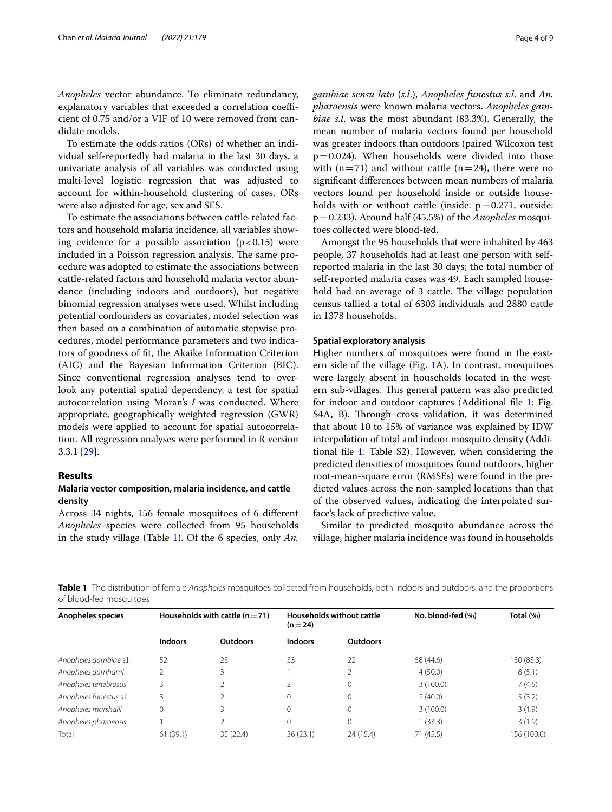*Anopheles* vector abundance. To eliminate redundancy, explanatory variables that exceeded a correlation coefficient of 0.75 and/or a VIF of 10 were removed from candidate models.

To estimate the odds ratios (ORs) of whether an individual self-reportedly had malaria in the last 30 days, a univariate analysis of all variables was conducted using multi-level logistic regression that was adjusted to account for within-household clustering of cases. ORs were also adjusted for age, sex and SES.

To estimate the associations between cattle-related factors and household malaria incidence, all variables showing evidence for a possible association  $(p<0.15)$  were included in a Poisson regression analysis. The same procedure was adopted to estimate the associations between cattle-related factors and household malaria vector abundance (including indoors and outdoors), but negative binomial regression analyses were used. Whilst including potential confounders as covariates, model selection was then based on a combination of automatic stepwise procedures, model performance parameters and two indicators of goodness of ft, the Akaike Information Criterion (AIC) and the Bayesian Information Criterion (BIC). Since conventional regression analyses tend to overlook any potential spatial dependency, a test for spatial autocorrelation using Moran's *I* was conducted. Where appropriate, geographically weighted regression (GWR) models were applied to account for spatial autocorrelation. All regression analyses were performed in R version 3.3.1 [\[29](#page-8-4)].

#### **Results**

#### **Malaria vector composition, malaria incidence, and cattle density**

Across 34 nights, 156 female mosquitoes of 6 diferent *Anopheles* species were collected from 95 households in the study village (Table [1](#page-3-0)). Of the 6 species, only *An.*  *gambiae sensu lato* (*s.l*.), *Anopheles funestus s.l*. and *An. pharoensis* were known malaria vectors. *Anopheles gambiae s.l*. was the most abundant (83.3%). Generally, the mean number of malaria vectors found per household was greater indoors than outdoors (paired Wilcoxon test  $p=0.024$ ). When households were divided into those with  $(n=71)$  and without cattle  $(n=24)$ , there were no signifcant diferences between mean numbers of malaria vectors found per household inside or outside households with or without cattle (inside:  $p=0.271$ , outside: p=0.233). Around half (45.5%) of the *Anopheles* mosquitoes collected were blood-fed.

Amongst the 95 households that were inhabited by 463 people, 37 households had at least one person with selfreported malaria in the last 30 days; the total number of self-reported malaria cases was 49. Each sampled household had an average of 3 cattle. The village population census tallied a total of 6303 individuals and 2880 cattle in 1378 households.

#### **Spatial exploratory analysis**

Higher numbers of mosquitoes were found in the eastern side of the village (Fig. [1](#page-4-0)A). In contrast, mosquitoes were largely absent in households located in the western sub-villages. This general pattern was also predicted for indoor and outdoor captures (Additional fle [1:](#page-7-19) Fig. S4A, B). Through cross validation, it was determined that about 10 to 15% of variance was explained by IDW interpolation of total and indoor mosquito density (Additional fle [1](#page-7-19): Table S2). However, when considering the predicted densities of mosquitoes found outdoors, higher root-mean-square error (RMSEs) were found in the predicted values across the non-sampled locations than that of the observed values, indicating the interpolated surface's lack of predictive value.

Similar to predicted mosquito abundance across the village, higher malaria incidence was found in households

<span id="page-3-0"></span>**Table 1** The distribution of female *Anopheles* mosquitoes collected from households, both indoors and outdoors, and the proportions of blood-fed mosquitoes

| Anopheles species       | Households with cattle $(n = 71)$ |                 | Households without cattle<br>$(n=24)$ |                 | No. blood-fed (%) | Total (%)   |
|-------------------------|-----------------------------------|-----------------|---------------------------------------|-----------------|-------------------|-------------|
|                         | <b>Indoors</b>                    | <b>Outdoors</b> | <b>Indoors</b>                        | <b>Outdoors</b> |                   |             |
| Anopheles gambiae s.l.  | 52                                | 23              | 33                                    | 22              | 58 (44.6)         | 130 (83.3)  |
| Anopheles garnhami      |                                   |                 |                                       |                 | 4(50.0)           | 8(5.1)      |
| Anopheles tenebrosus    |                                   |                 |                                       | 0               | 3(100.0)          | 7(4.5)      |
| Anopheles funestus s.l. |                                   |                 |                                       | 0               | 2(40.0)           | 5(3.2)      |
| Anopheles marshalli     | 0                                 |                 |                                       | 0               | 3(100.0)          | 3(1.9)      |
| Anopheles pharoensis    |                                   |                 |                                       | 0               | 1(33.3)           | 3(1.9)      |
| Total                   | 61(39.1)                          | 35 (22.4)       | 36(23.1)                              | 24 (15.4)       | 71(45.5)          | 156 (100.0) |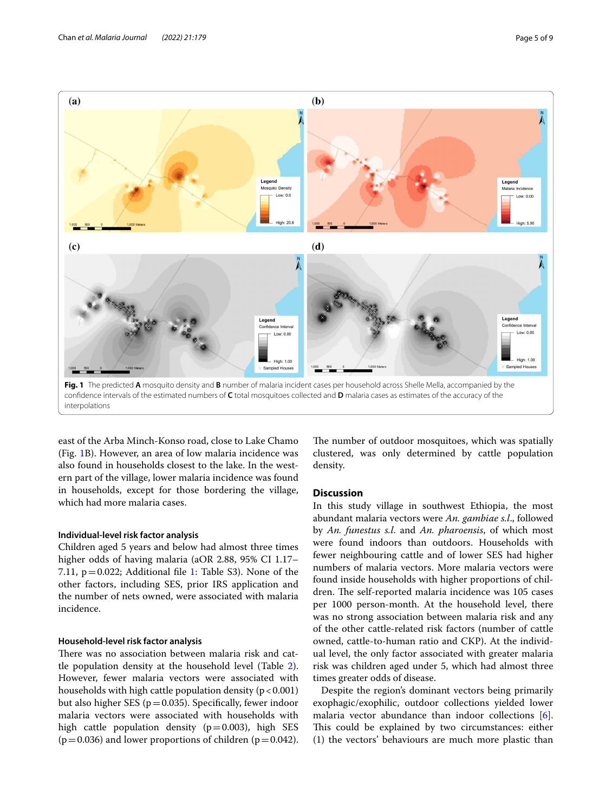

<span id="page-4-0"></span>east of the Arba Minch-Konso road, close to Lake Chamo (Fig. [1B](#page-4-0)). However, an area of low malaria incidence was also found in households closest to the lake. In the western part of the village, lower malaria incidence was found in households, except for those bordering the village, which had more malaria cases.

#### **Individual-level risk factor analysis**

Children aged 5 years and below had almost three times higher odds of having malaria (aOR 2.88, 95% CI 1.17– 7.11,  $p=0.022$ ; Additional file [1:](#page-7-19) Table S3). None of the other factors, including SES, prior IRS application and the number of nets owned, were associated with malaria incidence.

#### **Household-level risk factor analysis**

There was no association between malaria risk and cattle population density at the household level (Table [2](#page-5-0)). However, fewer malaria vectors were associated with households with high cattle population density  $(p < 0.001)$ but also higher SES ( $p=0.035$ ). Specifically, fewer indoor malaria vectors were associated with households with high cattle population density  $(p=0.003)$ , high SES  $(p=0.036)$  and lower proportions of children  $(p=0.042)$ . The number of outdoor mosquitoes, which was spatially clustered, was only determined by cattle population density.

#### **Discussion**

In this study village in southwest Ethiopia, the most abundant malaria vectors were *An. gambiae s.l*., followed by *An. funestus s.l*. and *An. pharoensis*, of which most were found indoors than outdoors. Households with fewer neighbouring cattle and of lower SES had higher numbers of malaria vectors. More malaria vectors were found inside households with higher proportions of children. The self-reported malaria incidence was 105 cases per 1000 person-month. At the household level, there was no strong association between malaria risk and any of the other cattle-related risk factors (number of cattle owned, cattle-to-human ratio and CKP). At the individual level, the only factor associated with greater malaria risk was children aged under 5, which had almost three times greater odds of disease.

Despite the region's dominant vectors being primarily exophagic/exophilic, outdoor collections yielded lower malaria vector abundance than indoor collections [\[6](#page-7-5)]. This could be explained by two circumstances: either (1) the vectors' behaviours are much more plastic than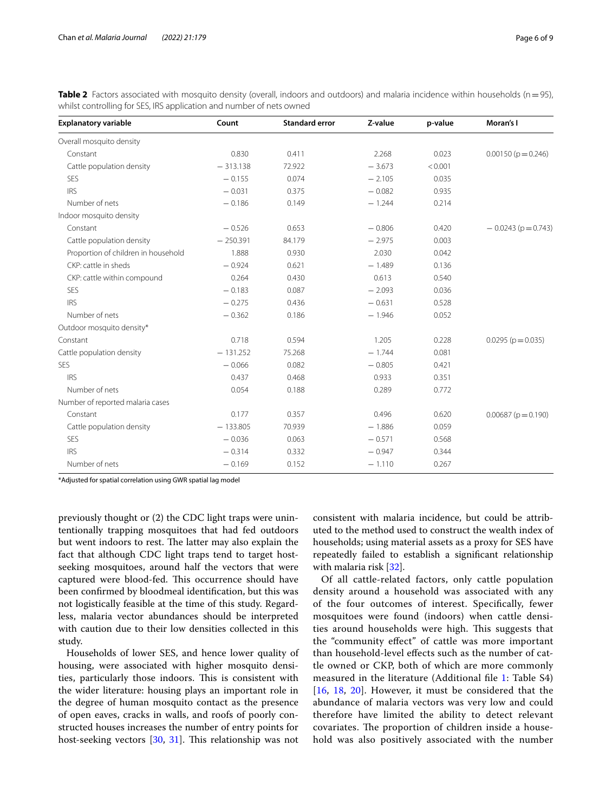<span id="page-5-0"></span>**Table 2** Factors associated with mosquito density (overall, indoors and outdoors) and malaria incidence within households (n=95), whilst controlling for SES, IRS application and number of nets owned

| <b>Explanatory variable</b>         | Count      | <b>Standard error</b> | Z-value  | p-value | Moran's I                 |
|-------------------------------------|------------|-----------------------|----------|---------|---------------------------|
| Overall mosquito density            |            |                       |          |         |                           |
| Constant                            | 0.830      | 0.411                 | 2.268    | 0.023   | $0.00150(p=0.246)$        |
| Cattle population density           | $-313.138$ | 72.922                | $-3.673$ | < 0.001 |                           |
| <b>SES</b>                          | $-0.155$   | 0.074                 | $-2.105$ | 0.035   |                           |
| <b>IRS</b>                          | $-0.031$   | 0.375                 | $-0.082$ | 0.935   |                           |
| Number of nets                      | $-0.186$   | 0.149                 | $-1.244$ | 0.214   |                           |
| Indoor mosquito density             |            |                       |          |         |                           |
| Constant                            | $-0.526$   | 0.653                 | $-0.806$ | 0.420   | $-0.0243$ (p = 0.743)     |
| Cattle population density           | $-250.391$ | 84.179                | $-2.975$ | 0.003   |                           |
| Proportion of children in household | 1.888      | 0.930                 | 2.030    | 0.042   |                           |
| CKP: cattle in sheds                | $-0.924$   | 0.621                 | $-1.489$ | 0.136   |                           |
| CKP: cattle within compound         | 0.264      | 0.430                 | 0.613    | 0.540   |                           |
| SES                                 | $-0.183$   | 0.087                 | $-2.093$ | 0.036   |                           |
| <b>IRS</b>                          | $-0.275$   | 0.436                 | $-0.631$ | 0.528   |                           |
| Number of nets                      | $-0.362$   | 0.186                 | $-1.946$ | 0.052   |                           |
| Outdoor mosquito density*           |            |                       |          |         |                           |
| Constant                            | 0.718      | 0.594                 | 1.205    | 0.228   | $0.0295$ ( $p = 0.035$ )  |
| Cattle population density           | $-131.252$ | 75.268                | $-1.744$ | 0.081   |                           |
| <b>SES</b>                          | $-0.066$   | 0.082                 | $-0.805$ | 0.421   |                           |
| <b>IRS</b>                          | 0.437      | 0.468                 | 0.933    | 0.351   |                           |
| Number of nets                      | 0.054      | 0.188                 | 0.289    | 0.772   |                           |
| Number of reported malaria cases    |            |                       |          |         |                           |
| Constant                            | 0.177      | 0.357                 | 0.496    | 0.620   | $0.00687$ ( $p = 0.190$ ) |
| Cattle population density           | $-133.805$ | 70.939                | $-1.886$ | 0.059   |                           |
| <b>SES</b>                          | $-0.036$   | 0.063                 | $-0.571$ | 0.568   |                           |
| <b>IRS</b>                          | $-0.314$   | 0.332                 | $-0.947$ | 0.344   |                           |
| Number of nets                      | $-0.169$   | 0.152                 | $-1.110$ | 0.267   |                           |

\*Adjusted for spatial correlation using GWR spatial lag model

previously thought or (2) the CDC light traps were unintentionally trapping mosquitoes that had fed outdoors but went indoors to rest. The latter may also explain the fact that although CDC light traps tend to target hostseeking mosquitoes, around half the vectors that were captured were blood-fed. This occurrence should have been confrmed by bloodmeal identifcation, but this was not logistically feasible at the time of this study. Regardless, malaria vector abundances should be interpreted with caution due to their low densities collected in this study.

Households of lower SES, and hence lower quality of housing, were associated with higher mosquito densities, particularly those indoors. This is consistent with the wider literature: housing plays an important role in the degree of human mosquito contact as the presence of open eaves, cracks in walls, and roofs of poorly constructed houses increases the number of entry points for host-seeking vectors [[30,](#page-8-5) [31](#page-8-6)]. This relationship was not consistent with malaria incidence, but could be attributed to the method used to construct the wealth index of households; using material assets as a proxy for SES have repeatedly failed to establish a signifcant relationship with malaria risk [[32\]](#page-8-7).

Of all cattle-related factors, only cattle population density around a household was associated with any of the four outcomes of interest. Specifcally, fewer mosquitoes were found (indoors) when cattle densities around households were high. This suggests that the "community efect" of cattle was more important than household-level efects such as the number of cattle owned or CKP, both of which are more commonly measured in the literature (Additional fle [1](#page-7-19): Table S4) [[16](#page-7-15), [18,](#page-7-20) [20](#page-7-21)]. However, it must be considered that the abundance of malaria vectors was very low and could therefore have limited the ability to detect relevant covariates. The proportion of children inside a household was also positively associated with the number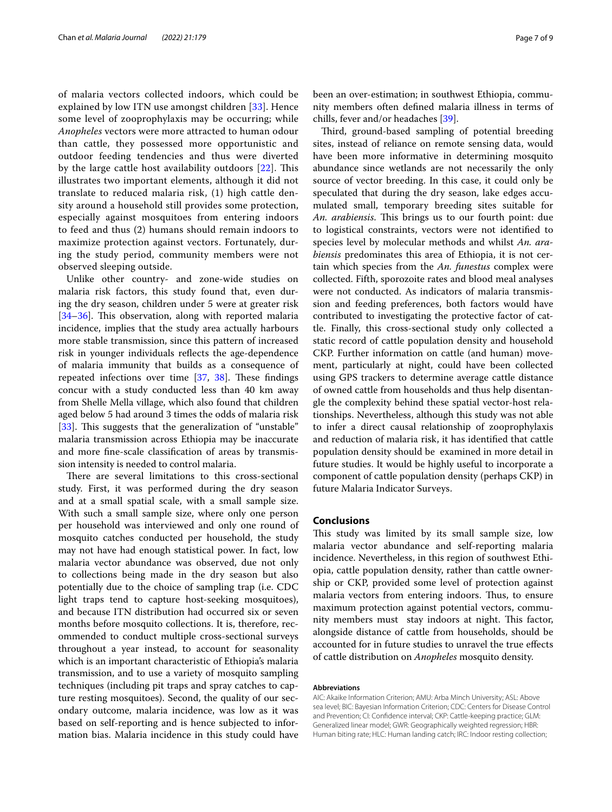of malaria vectors collected indoors, which could be explained by low ITN use amongst children [[33\]](#page-8-8). Hence some level of zooprophylaxis may be occurring; while *Anopheles* vectors were more attracted to human odour than cattle, they possessed more opportunistic and outdoor feeding tendencies and thus were diverted by the large cattle host availability outdoors  $[22]$ . This illustrates two important elements, although it did not translate to reduced malaria risk, (1) high cattle density around a household still provides some protection, especially against mosquitoes from entering indoors to feed and thus (2) humans should remain indoors to maximize protection against vectors. Fortunately, during the study period, community members were not observed sleeping outside.

Unlike other country- and zone-wide studies on malaria risk factors, this study found that, even during the dry season, children under 5 were at greater risk  $[34–36]$  $[34–36]$  $[34–36]$  $[34–36]$ . This observation, along with reported malaria incidence, implies that the study area actually harbours more stable transmission, since this pattern of increased risk in younger individuals refects the age-dependence of malaria immunity that builds as a consequence of repeated infections over time  $[37, 38]$  $[37, 38]$  $[37, 38]$  $[37, 38]$ . These findings concur with a study conducted less than 40 km away from Shelle Mella village, which also found that children aged below 5 had around 3 times the odds of malaria risk [[33\]](#page-8-8). This suggests that the generalization of "unstable" malaria transmission across Ethiopia may be inaccurate and more fne-scale classifcation of areas by transmission intensity is needed to control malaria.

There are several limitations to this cross-sectional study. First, it was performed during the dry season and at a small spatial scale, with a small sample size. With such a small sample size, where only one person per household was interviewed and only one round of mosquito catches conducted per household, the study may not have had enough statistical power. In fact, low malaria vector abundance was observed, due not only to collections being made in the dry season but also potentially due to the choice of sampling trap (i.e. CDC light traps tend to capture host-seeking mosquitoes), and because ITN distribution had occurred six or seven months before mosquito collections. It is, therefore, recommended to conduct multiple cross-sectional surveys throughout a year instead, to account for seasonality which is an important characteristic of Ethiopia's malaria transmission, and to use a variety of mosquito sampling techniques (including pit traps and spray catches to capture resting mosquitoes). Second, the quality of our secondary outcome, malaria incidence, was low as it was based on self-reporting and is hence subjected to information bias. Malaria incidence in this study could have been an over-estimation; in southwest Ethiopia, community members often defned malaria illness in terms of chills, fever and/or headaches [\[39](#page-8-13)].

Third, ground-based sampling of potential breeding sites, instead of reliance on remote sensing data, would have been more informative in determining mosquito abundance since wetlands are not necessarily the only source of vector breeding. In this case, it could only be speculated that during the dry season, lake edges accumulated small, temporary breeding sites suitable for *An. arabiensis.* This brings us to our fourth point: due to logistical constraints, vectors were not identifed to species level by molecular methods and whilst *An. arabiensis* predominates this area of Ethiopia, it is not certain which species from the *An. funestus* complex were collected. Fifth, sporozoite rates and blood meal analyses were not conducted. As indicators of malaria transmission and feeding preferences, both factors would have contributed to investigating the protective factor of cattle. Finally, this cross-sectional study only collected a static record of cattle population density and household CKP. Further information on cattle (and human) movement, particularly at night, could have been collected using GPS trackers to determine average cattle distance of owned cattle from households and thus help disentangle the complexity behind these spatial vector-host relationships. Nevertheless, although this study was not able to infer a direct causal relationship of zooprophylaxis and reduction of malaria risk, it has identifed that cattle population density should be examined in more detail in future studies. It would be highly useful to incorporate a component of cattle population density (perhaps CKP) in future Malaria Indicator Surveys.

#### **Conclusions**

This study was limited by its small sample size, low malaria vector abundance and self-reporting malaria incidence. Nevertheless, in this region of southwest Ethiopia, cattle population density, rather than cattle ownership or CKP, provided some level of protection against malaria vectors from entering indoors. Thus, to ensure maximum protection against potential vectors, community members must stay indoors at night. This factor, alongside distance of cattle from households, should be accounted for in future studies to unravel the true efects of cattle distribution on *Anopheles* mosquito density.

#### **Abbreviations**

AIC: Akaike Information Criterion; AMU: Arba Minch University; ASL: Above sea level; BIC: Bayesian Information Criterion; CDC: Centers for Disease Control and Prevention; CI: Confdence interval; CKP: Cattle-keeping practice; GLM: Generalized linear model; GWR: Geographically weighted regression; HBR: Human biting rate; HLC: Human landing catch; IRC: Indoor resting collection;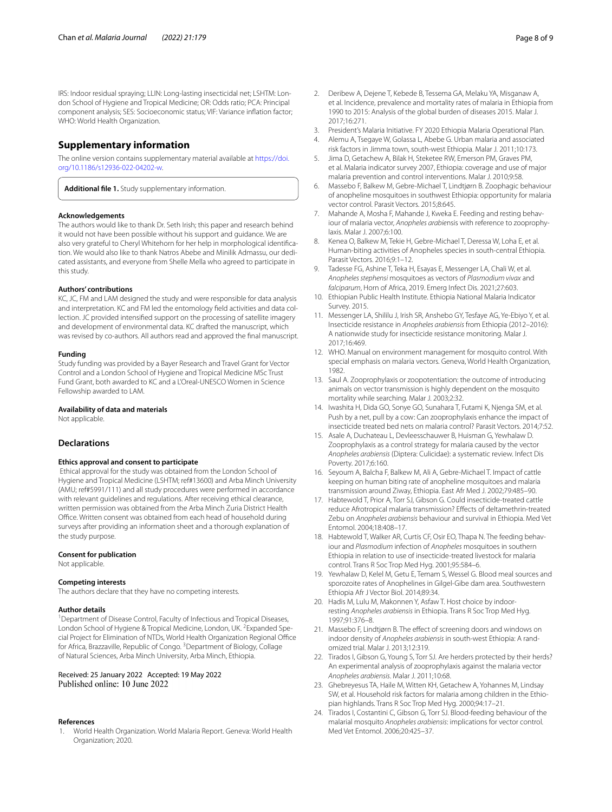IRS: Indoor residual spraying; LLIN: Long-lasting insecticidal net; LSHTM: London School of Hygiene and Tropical Medicine; OR: Odds ratio; PCA: Principal component analysis; SES: Socioeconomic status; VIF: Variance infation factor; WHO: World Health Organization.

#### **Supplementary information**

The online version contains supplementary material available at [https://doi.](https://doi.org/10.1186/s12936-022-04202-w) [org/10.1186/s12936-022-04202-w.](https://doi.org/10.1186/s12936-022-04202-w)

<span id="page-7-19"></span>**Additional fle 1.** Study supplementary information.

#### **Acknowledgements**

The authors would like to thank Dr. Seth Irish; this paper and research behind it would not have been possible without his support and guidance. We are also very grateful to Cheryl Whitehorn for her help in morphological identifcation. We would also like to thank Natros Abebe and Minilik Admassu, our dedicated assistants, and everyone from Shelle Mella who agreed to participate in this study.

#### **Authors' contributions**

KC, JC, FM and LAM designed the study and were responsible for data analysis and interpretation. KC and FM led the entomology feld activities and data collection. JC provided intensifed support on the processing of satellite imagery and development of environmental data. KC drafted the manuscript, which was revised by co-authors. All authors read and approved the fnal manuscript.

#### **Funding**

Study funding was provided by a Bayer Research and Travel Grant for Vector Control and a London School of Hygiene and Tropical Medicine MSc Trust Fund Grant, both awarded to KC and a L'Oreal-UNESCO Women in Science Fellowship awarded to LAM.

#### **Availability of data and materials**

Not applicable.

#### **Declarations**

#### **Ethics approval and consent to participate**

 Ethical approval for the study was obtained from the London School of Hygiene and Tropical Medicine (LSHTM; ref#13600) and Arba Minch University (AMU; ref#5991/111) and all study procedures were performed in accordance with relevant guidelines and regulations. After receiving ethical clearance, written permission was obtained from the Arba Minch Zuria District Health Office. Written consent was obtained from each head of household during surveys after providing an information sheet and a thorough explanation of the study purpose.

#### **Consent for publication**

Not applicable.

#### **Competing interests**

The authors declare that they have no competing interests.

#### **Author details**

<sup>1</sup> Department of Disease Control, Faculty of Infectious and Tropical Diseases, London School of Hygiene & Tropical Medicine, London, UK. <sup>2</sup> Expanded Special Project for Elimination of NTDs, World Health Organization Regional Office for Africa, Brazzaville, Republic of Congo. <sup>3</sup> Department of Biology, Collage of Natural Sciences, Arba Minch University, Arba Minch, Ethiopia.

# Received: 25 January 2022 Accepted: 19 May 2022

#### **References**

<span id="page-7-0"></span>1. World Health Organization. World Malaria Report. Geneva: World Health Organization; 2020.

- <span id="page-7-1"></span>2. Deribew A, Dejene T, Kebede B, Tessema GA, Melaku YA, Misganaw A, et al. Incidence, prevalence and mortality rates of malaria in Ethiopia from 1990 to 2015: Analysis of the global burden of diseases 2015. Malar J. 2017;16:271.
- <span id="page-7-2"></span>3. President's Malaria Initiative. FY 2020 Ethiopia Malaria Operational Plan.
- <span id="page-7-3"></span>4. Alemu A, Tsegaye W, Golassa L, Abebe G. Urban malaria and associated risk factors in Jimma town, south-west Ethiopia. Malar J. 2011;10:173.
- <span id="page-7-4"></span>5. Jima D, Getachew A, Bilak H, Steketee RW, Emerson PM, Graves PM, et al. Malaria indicator survey 2007, Ethiopia: coverage and use of major malaria prevention and control interventions. Malar J. 2010;9:58.
- <span id="page-7-5"></span>6. Massebo F, Balkew M, Gebre-Michael T, Lindtjørn B. Zoophagic behaviour of anopheline mosquitoes in southwest Ethiopia: opportunity for malaria vector control. Parasit Vectors. 2015;8:645.
- <span id="page-7-6"></span>7. Mahande A, Mosha F, Mahande J, Kweka E. Feeding and resting behaviour of malaria vector, *Anopheles arabie*nsis with reference to zooprophylaxis. Malar J. 2007;6:100.
- <span id="page-7-7"></span>8. Kenea O, Balkew M, Tekie H, Gebre-Michael T, Deressa W, Loha E, et al. Human-biting activities of Anopheles species in south-central Ethiopia. Parasit Vectors. 2016;9:1–12.
- <span id="page-7-8"></span>9. Tadesse FG, Ashine T, Teka H, Esayas E, Messenger LA, Chali W, et al. *Anopheles stephensi* mosquitoes as vectors of *Plasmodium vivax* and *falciparum*, Horn of Africa, 2019. Emerg Infect Dis. 2021;27:603.
- <span id="page-7-9"></span>10. Ethiopian Public Health Institute. Ethiopia National Malaria Indicator Survey. 2015.
- <span id="page-7-10"></span>11. Messenger LA, Shililu J, Irish SR, Anshebo GY, Tesfaye AG, Ye-Ebiyo Y, et al. Insecticide resistance in *Anopheles arabiensis* from Ethiopia (2012–2016): A nationwide study for insecticide resistance monitoring. Malar J. 2017;16:469.
- <span id="page-7-11"></span>12. WHO. Manual on environment management for mosquito control. With special emphasis on malaria vectors. Geneva, World Health Organization, 1982.
- <span id="page-7-12"></span>13. Saul A. Zooprophylaxis or zoopotentiation: the outcome of introducing animals on vector transmission is highly dependent on the mosquito mortality while searching. Malar J. 2003;2:32.
- <span id="page-7-13"></span>14. Iwashita H, Dida GO, Sonye GO, Sunahara T, Futami K, Njenga SM, et al. Push by a net, pull by a cow: Can zooprophylaxis enhance the impact of insecticide treated bed nets on malaria control? Parasit Vectors. 2014;7:52.
- <span id="page-7-14"></span>15. Asale A, Duchateau L, Devleesschauwer B, Huisman G, Yewhalaw D. Zooprophylaxis as a control strategy for malaria caused by the vector *Anopheles arabiensis* (Diptera: Culicidae): a systematic review. Infect Dis Poverty. 2017;6:160.
- <span id="page-7-15"></span>16. Seyoum A, Balcha F, Balkew M, Ali A, Gebre-Michael T. Impact of cattle keeping on human biting rate of anopheline mosquitoes and malaria transmission around Ziway, Ethiopia. East Afr Med J. 2002;79:485–90.
- 17. Habtewold T, Prior A, Torr SJ, Gibson G. Could insecticide-treated cattle reduce Afrotropical malaria transmission? Efects of deltamethrin-treated Zebu on *Anopheles arabiensis* behaviour and survival in Ethiopia. Med Vet Entomol. 2004;18:408–17.
- <span id="page-7-20"></span>18. Habtewold T, Walker AR, Curtis CF, Osir EO, Thapa N. The feeding behaviour and *Plasmodium* infection of *Anopheles* mosquitoes in southern Ethiopia in relation to use of insecticide-treated livestock for malaria control. Trans R Soc Trop Med Hyg. 2001;95:584–6.
- 19. Yewhalaw D, Kelel M, Getu E, Temam S, Wessel G. Blood meal sources and sporozoite rates of Anophelines in Gilgel-Gibe dam area. Southwestern Ethiopia Afr J Vector Biol. 2014;89:34.
- <span id="page-7-21"></span>20. Hadis M, Lulu M, Makonnen Y, Asfaw T. Host choice by indoorresting *Anopheles arabiensis* in Ethiopia. Trans R Soc Trop Med Hyg. 1997;91:376–8.
- 21. Massebo F, Lindtjørn B. The effect of screening doors and windows on indoor density of *Anopheles arabiensis* in south-west Ethiopia: A randomized trial. Malar J. 2013;12:319.
- <span id="page-7-16"></span>22. Tirados I, Gibson G, Young S, Torr SJ. Are herders protected by their herds? An experimental analysis of zooprophylaxis against the malaria vector *Anopheles arabiensis*. Malar J. 2011;10:68.
- <span id="page-7-17"></span>23. Ghebreyesus TA, Haile M, Witten KH, Getachew A, Yohannes M, Lindsay SW, et al. Household risk factors for malaria among children in the Ethiopian highlands. Trans R Soc Trop Med Hyg. 2000;94:17–21.
- <span id="page-7-18"></span>24. Tirados I, Costantini C, Gibson G, Torr SJ. Blood-feeding behaviour of the malarial mosquito *Anopheles arabiensis*: implications for vector control. Med Vet Entomol. 2006;20:425–37.